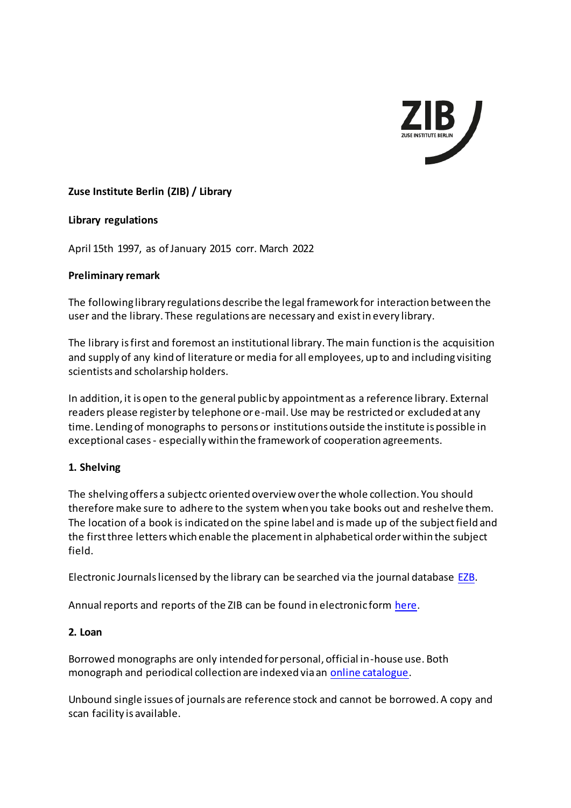

## **Zuse Institute Berlin (ZIB) / Library**

### **Library regulations**

April 15th 1997, as of January 2015 corr. March 2022

### **Preliminary remark**

The following library regulations describe the legal framework for interaction between the user and the library. These regulations are necessary and exist in every library.

The library is first and foremost an institutional library. The main function is the acquisition and supply of any kind of literature or media for all employees, up to and including visiting scientists and scholarship holders.

In addition, it is open to the general public by appointment as a reference library. External readers please register by telephone or e-mail. Use may be restricted or excluded at any time. Lending of monographs to persons or institutions outside the institute is possible in exceptional cases - especially within the framework of cooperation agreements.

### **1. Shelving**

The shelving offers a subjectc oriented overview over the whole collection. You should therefore make sure to adhere to the system when you take books out and reshelve them. The location of a book is indicated on the spine label and is made up of the subject field and the first three letters which enable the placement in alphabetical order within the subject field.

Electronic Journals licensed by the library can be searched via the journal database [EZB.](http://rzblx1.uni-regensburg.de/ezeit/search.phtml?bibid=ZUSE&colors=7&lang=en)

Annual reports and reports of the ZIB can be found in electronic form [here](http://opus4.kobv.de/opus4-zib/home).

#### **2. Loan**

Borrowed monographs are only intended for personal, official in-house use. Both monograph and periodical collection are indexed via an [online catalogue.](https://bib.zib.de/?plv=2)

Unbound single issues of journals are reference stock and cannot be borrowed. A copy and scan facility is available.